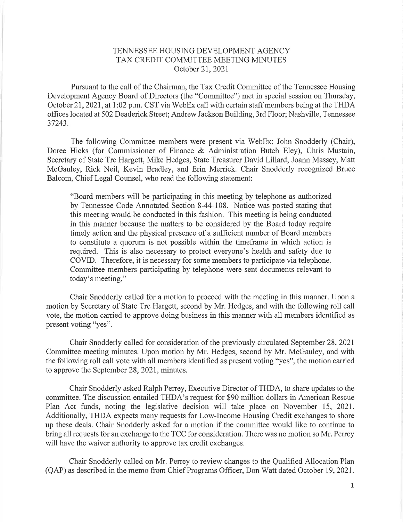## TENNESSEE HOUSING DEVELOPMENT AGENCY TAX CREDIT COMMITTEE MEETING MINUTES October 21,2021

Pursuant to the call of the Chairman, the Tax Credit Committee of the Tennessee Housing Development Agency Board of Directors (the "Committee") met in special session on Thursday, October 21,2021, at l:02 p.m. CST via WebEx call with certain staff members being at the THDA offices located at 502 Deaderick Street; Andrew Jackson Building, 3rd Floor; Nashville, Tennessee 37243.

The following Committee members were present via WebEx: John Snodderly (Chair), Doree Hicks (for Commissioner of Finance & Administration Butch Eley), Chris Mustain, Secretary of State Tre Hargett, Mike Hedges, State Treasurer David Lillard, Joann Massey, Matt McGauley, Rick Neil, Kevin Bradley, and Erin Merrick. Chair Snodderly recognized Bruce Balcom, Chief Legal Counsel, who read the following statement:

"Board members will be participating in this meeting by telephone as authorized by Tennessee Code Annotated Section 8-44-108. Notice was posted stating that this meeting would be conducted in this fashion. This meeting is being conducted in this manner because the matters to be considered by the Board today require timely action and the physical presence of a sufficient number of Board members to constitute a quorum is not possible within the timeframe in which action is required. This is also necessary to protect everyone's health and safety due to COVID. Therefore, it is necessary for some members to participate via telephone. Committee members participating by telephone were sent documents relevant to today's meeting."

Chair Snodderly called for a motion to proceed with the meeting in this manner. Upon a motion by Secretary of State Tre Hargett, second by Mr. Hedges, and with the following roll call vote, the motion carried to approve doing business in this manner with all members identified as present voting "yes".

Chair Snodderly called for consideration of the previously circulated September 28,2021 Committee meeting minutes. Upon motion by Mr. Hedges, second by Mr. McGauley, and with the following roll call vote with all members identified as present voting "yes'', the motion carried to approve the September 28, 2021, minutes.

Chair Snodderly asked Ralph Perrey, Executive Director of THDA, to share updates to the committee. The discussion entailed THDA's request for \$90 million dollars in American Rescue Plan Act funds, noting the legislative decision will take place on November 15, 2021. Additionally, THDA expects many requests for Low-Income Housing Credit exchanges to shore up these deals. Chair Snodderly asked for a motion if the committee would like to continue to bring all requests for an exchange to the TCC for consideration. There was no motion so Mr. Perrey will have the waiver authority to approve tax credit exchanges.

Chair Snodderly called on Mr. Perrey to review changes to the Qualified Allocation Plan (QAP) as described in the memo from Chief Programs Officer, Don Watt dated October 19,2021.